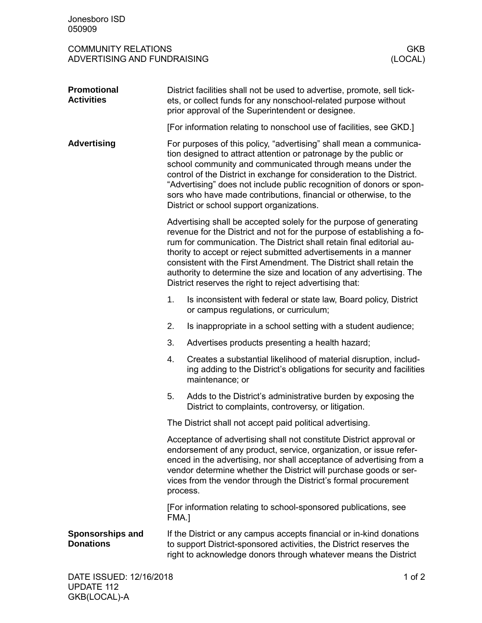| Jonesboro ISD<br>050909                                   |                                                                                                                                                                                                                                                                                                                                                                                                                                                                                                                                                                                                                                                                                                                                                                                                                                                                                                                                                                             |                                                                                                                                                                                                                                                                                                                                                                       |                       |
|-----------------------------------------------------------|-----------------------------------------------------------------------------------------------------------------------------------------------------------------------------------------------------------------------------------------------------------------------------------------------------------------------------------------------------------------------------------------------------------------------------------------------------------------------------------------------------------------------------------------------------------------------------------------------------------------------------------------------------------------------------------------------------------------------------------------------------------------------------------------------------------------------------------------------------------------------------------------------------------------------------------------------------------------------------|-----------------------------------------------------------------------------------------------------------------------------------------------------------------------------------------------------------------------------------------------------------------------------------------------------------------------------------------------------------------------|-----------------------|
| <b>COMMUNITY RELATIONS</b><br>ADVERTISING AND FUNDRAISING |                                                                                                                                                                                                                                                                                                                                                                                                                                                                                                                                                                                                                                                                                                                                                                                                                                                                                                                                                                             |                                                                                                                                                                                                                                                                                                                                                                       | <b>GKB</b><br>(LOCAL) |
| Promotional<br><b>Activities</b>                          | District facilities shall not be used to advertise, promote, sell tick-<br>ets, or collect funds for any nonschool-related purpose without<br>prior approval of the Superintendent or designee.                                                                                                                                                                                                                                                                                                                                                                                                                                                                                                                                                                                                                                                                                                                                                                             |                                                                                                                                                                                                                                                                                                                                                                       |                       |
|                                                           |                                                                                                                                                                                                                                                                                                                                                                                                                                                                                                                                                                                                                                                                                                                                                                                                                                                                                                                                                                             | [For information relating to nonschool use of facilities, see GKD.]                                                                                                                                                                                                                                                                                                   |                       |
| <b>Advertising</b>                                        | For purposes of this policy, "advertising" shall mean a communica-<br>tion designed to attract attention or patronage by the public or<br>school community and communicated through means under the<br>control of the District in exchange for consideration to the District.<br>"Advertising" does not include public recognition of donors or spon-<br>sors who have made contributions, financial or otherwise, to the<br>District or school support organizations.<br>Advertising shall be accepted solely for the purpose of generating<br>revenue for the District and not for the purpose of establishing a fo-<br>rum for communication. The District shall retain final editorial au-<br>thority to accept or reject submitted advertisements in a manner<br>consistent with the First Amendment. The District shall retain the<br>authority to determine the size and location of any advertising. The<br>District reserves the right to reject advertising that: |                                                                                                                                                                                                                                                                                                                                                                       |                       |
|                                                           |                                                                                                                                                                                                                                                                                                                                                                                                                                                                                                                                                                                                                                                                                                                                                                                                                                                                                                                                                                             |                                                                                                                                                                                                                                                                                                                                                                       |                       |
|                                                           | 1.                                                                                                                                                                                                                                                                                                                                                                                                                                                                                                                                                                                                                                                                                                                                                                                                                                                                                                                                                                          | Is inconsistent with federal or state law, Board policy, District<br>or campus regulations, or curriculum;                                                                                                                                                                                                                                                            |                       |
|                                                           | 2.                                                                                                                                                                                                                                                                                                                                                                                                                                                                                                                                                                                                                                                                                                                                                                                                                                                                                                                                                                          | Is inappropriate in a school setting with a student audience;                                                                                                                                                                                                                                                                                                         |                       |
|                                                           | 3.                                                                                                                                                                                                                                                                                                                                                                                                                                                                                                                                                                                                                                                                                                                                                                                                                                                                                                                                                                          | Advertises products presenting a health hazard;                                                                                                                                                                                                                                                                                                                       |                       |
|                                                           | 4                                                                                                                                                                                                                                                                                                                                                                                                                                                                                                                                                                                                                                                                                                                                                                                                                                                                                                                                                                           | Creates a substantial likelihood of material disruption, includ-<br>ing adding to the District's obligations for security and facilities<br>maintenance; or                                                                                                                                                                                                           |                       |
|                                                           | 5.                                                                                                                                                                                                                                                                                                                                                                                                                                                                                                                                                                                                                                                                                                                                                                                                                                                                                                                                                                          | Adds to the District's administrative burden by exposing the<br>District to complaints, controversy, or litigation.                                                                                                                                                                                                                                                   |                       |
|                                                           | The District shall not accept paid political advertising.                                                                                                                                                                                                                                                                                                                                                                                                                                                                                                                                                                                                                                                                                                                                                                                                                                                                                                                   |                                                                                                                                                                                                                                                                                                                                                                       |                       |
|                                                           |                                                                                                                                                                                                                                                                                                                                                                                                                                                                                                                                                                                                                                                                                                                                                                                                                                                                                                                                                                             | Acceptance of advertising shall not constitute District approval or<br>endorsement of any product, service, organization, or issue refer-<br>enced in the advertising, nor shall acceptance of advertising from a<br>vendor determine whether the District will purchase goods or ser-<br>vices from the vendor through the District's formal procurement<br>process. |                       |
|                                                           |                                                                                                                                                                                                                                                                                                                                                                                                                                                                                                                                                                                                                                                                                                                                                                                                                                                                                                                                                                             | [For information relating to school-sponsored publications, see<br>FMA.]                                                                                                                                                                                                                                                                                              |                       |
| <b>Sponsorships and</b><br><b>Donations</b>               | If the District or any campus accepts financial or in-kind donations<br>to support District-sponsored activities, the District reserves the<br>right to acknowledge donors through whatever means the District                                                                                                                                                                                                                                                                                                                                                                                                                                                                                                                                                                                                                                                                                                                                                              |                                                                                                                                                                                                                                                                                                                                                                       |                       |